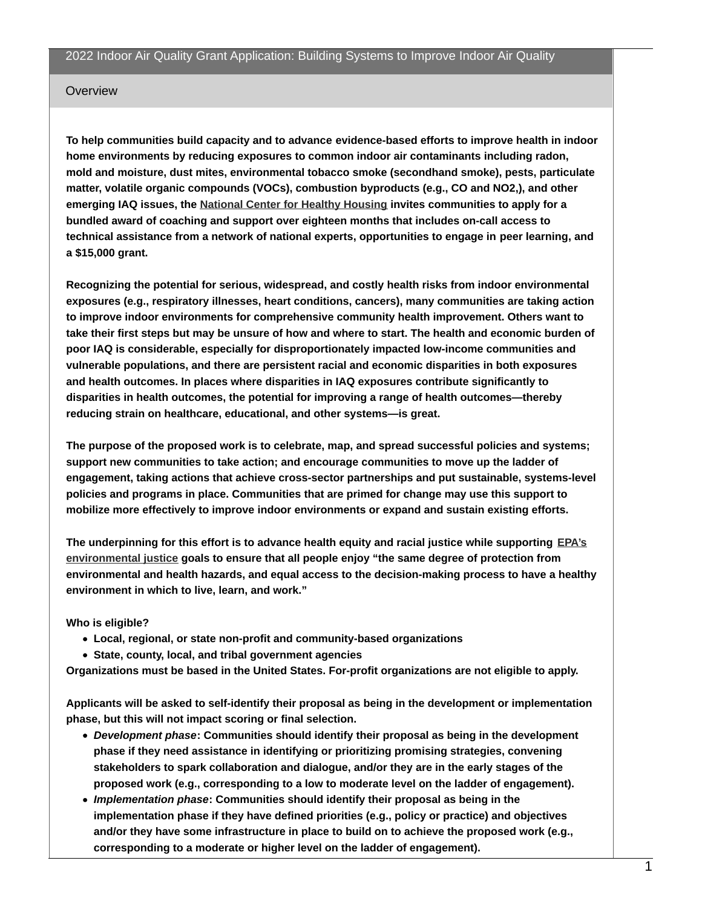#### Overview

**To help communities build capacity and to advance evidence-based efforts to improve health in indoor home environments by reducing exposures to common indoor air contaminants including radon, mold and moisture, dust mites, environmental tobacco smoke (secondhand smoke), pests, particulate matter, volatile organic compounds (VOCs), combustion byproducts (e.g., CO and NO2,), and other emerging IAQ issues, the National Center for Healthy [Housing](https://nchh.org/) invites communities to apply for a bundled award of coaching and support over eighteen months that includes on-call access to technical assistance from a network of national experts, opportunities to engage in peer learning, and a \$15,000 grant.**

**Recognizing the potential for serious, widespread, and costly health risks from indoor environmental exposures (e.g., respiratory illnesses, heart conditions, cancers), many communities are taking action to improve indoor environments for comprehensive community health improvement. Others want to** take their first steps but may be unsure of how and where to start. The health and economic burden of **poor IAQ is considerable, especially for disproportionately impacted low-income communities and vulnerable populations, and there are persistent racial and economic disparities in both exposures and health outcomes. In places where disparities in IAQ exposures contribute significantly to disparities in health outcomes, the potential for improving a range of health outcomes—thereby reducing strain on healthcare, educational, and other systems—is great.**

**The purpose of the proposed work is to celebrate, map, and spread successful policies and systems; support new communities to take action; and encourage communities to move up the ladder of engagement, taking actions that achieve cross-sector partnerships and put sustainable, systems-level policies and programs in place. Communities that are primed for change may use this support to mobilize more effectively to improve indoor environments or expand and sustain existing efforts.**

**The [underpinning](https://www.epa.gov/environmentaljustice) for this effort is to advance health equity and racial justice while supporting EPA's environmental justice goals to ensure that all people enjoy "the same degree of protection from environmental and health hazards, and equal access to the decision-making process to have a healthy environment in which to live, learn, and work."**

**Who is eligible?**

- **Local, regional, or state non-profit and community-based organizations**
- **State, county, local, and tribal government agencies**

**Organizations must be based in the United States. For-profit organizations are not eligible to apply.**

**Applicants will be asked to self-identify their proposal as being in the development or implementation phase, but this will not impact scoring or final selection.**

- *Development phase***: Communities should identify their proposal as being in the development phase if they need assistance in identifying or prioritizing promising strategies, convening stakeholders to spark collaboration and dialogue, and/or they are in the early stages of the proposed work (e.g., corresponding to a low to moderate level on the ladder of engagement).**
- *Implementation phase***: Communities should identify their proposal as being in the implementation phase if they have defined priorities (e.g., policy or practice) and objectives and/or they have some infrastructure in place to build on to achieve the proposed work (e.g., corresponding to a moderate or higher level on the ladder of engagement).**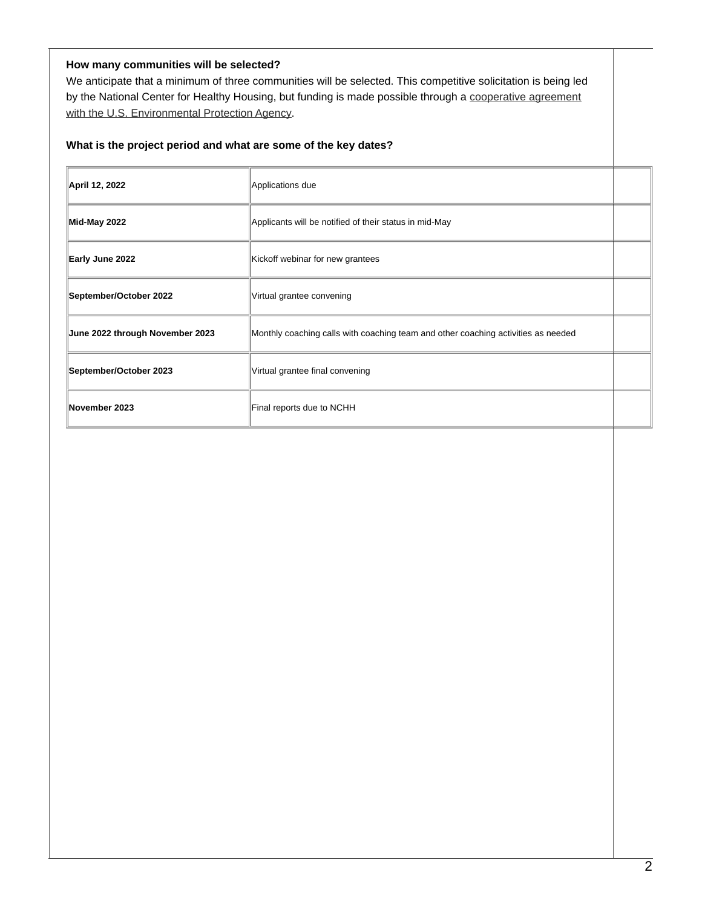# **How many communities will be selected?**

We anticipate that a minimum of three communities will be selected. This competitive solicitation is being led by the National Center for Healthy Housing, but funding is made possible through a cooperative agreement with the U.S. [Environmental](https://www.epa.gov/indoor-air-quality-iaq/cooperative-agreement-funding-indoor-air-quality#2021-2024) Protection Agency.

## **What is the project period and what are some of the key dates?**

| April 12, 2022                  | Applications due                                                                  |  |
|---------------------------------|-----------------------------------------------------------------------------------|--|
| Mid-May 2022                    | Applicants will be notified of their status in mid-May                            |  |
| Early June 2022                 | Kickoff webinar for new grantees                                                  |  |
| September/October 2022          | Virtual grantee convening                                                         |  |
| June 2022 through November 2023 | Monthly coaching calls with coaching team and other coaching activities as needed |  |
| September/October 2023          | Virtual grantee final convening                                                   |  |
| November 2023                   | Final reports due to NCHH                                                         |  |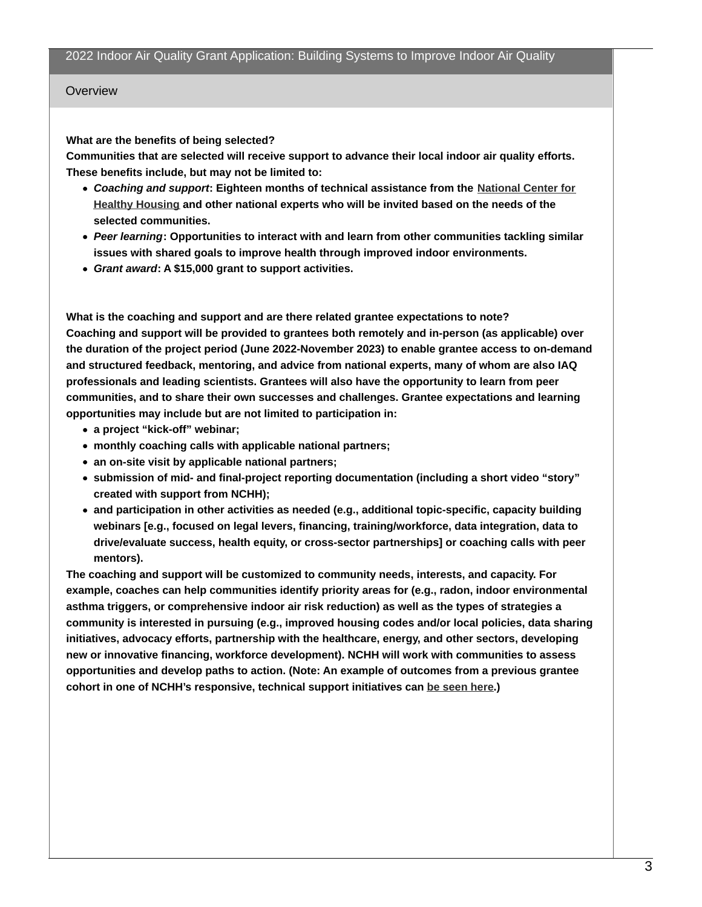### Overview

### **What are the benefits of being selected?**

**Communities that are selected will receive support to advance their local indoor air quality efforts. These benefits include, but may not be limited to:**

- *Coaching and support***: Eighteen months of technical [assistance](https://nchh.org/) from the National Center for Healthy Housing and other national experts who will be invited based on the needs of the selected communities.**
- *Peer learning***: Opportunities to interact with and learn from other communities tackling similar issues with shared goals to improve health through improved indoor environments.**
- *Grant award***: A \$15,000 grant to support activities.**

**What is the coaching and support and are there related grantee expectations to note? Coaching and support will be provided to grantees both remotely and in-person (as applicable) over the duration of the project period (June 2022-November 2023) to enable grantee access to on-demand and structured feedback, mentoring, and advice from national experts, many of whom are also IAQ professionals and leading scientists. Grantees will also have the opportunity to learn from peer communities, and to share their own successes and challenges. Grantee expectations and learning opportunities may include but are not limited to participation in:**

- **a project "kick-off" webinar;**
- **monthly coaching calls with applicable national partners;**
- **an on-site visit by applicable national partners;**
- **submission of mid- and final-project reporting documentation (including a short video "story" created with support from NCHH);**
- **and participation in other activities as needed (e.g., additional topic-specific, capacity building webinars [e.g., focused on legal levers, financing, training/workforce, data integration, data to drive/evaluate success, health equity, or cross-sector partnerships] or coaching calls with peer mentors).**

**The coaching and support will be customized to community needs, interests, and capacity. For example, coaches can help communities identify priority areas for (e.g., radon, indoor environmental asthma triggers, or comprehensive indoor air risk reduction) as well as the types of strategies a community is interested in pursuing (e.g., improved housing codes and/or local policies, data sharing initiatives, advocacy efforts, partnership with the healthcare, energy, and other sectors, developing new or innovative financing, workforce development). NCHH will work with communities to assess opportunities and develop paths to action. (Note: An example of outcomes from a previous grantee cohort in one of NCHH's responsive, technical support initiatives can be [seen](https://nchh.org/resource-library/fact-sheet_equipping-communities-for-action-through-the-nlppn.pdf) here.)**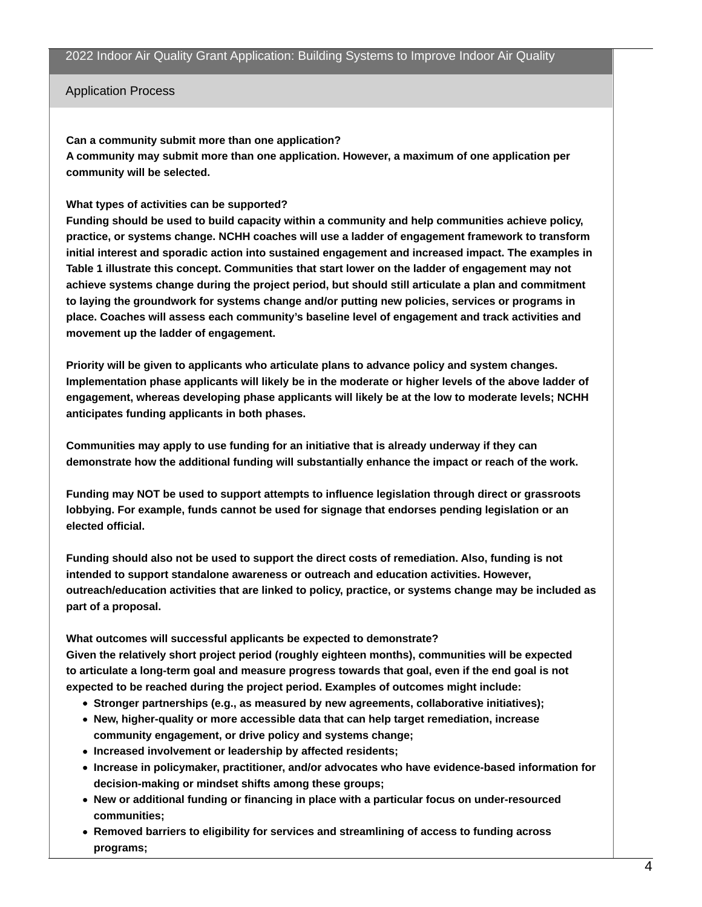Application Process

#### **Can a community submit more than one application?**

**A community may submit more than one application. However, a maximum of one application per community will be selected.**

## **What types of activities can be supported?**

**Funding should be used to build capacity within a community and help communities achieve policy, practice, or systems change. NCHH coaches will use a ladder of engagement framework to transform initial interest and sporadic action into sustained engagement and increased impact. The examples in Table 1 illustrate this concept. Communities that start lower on the ladder of engagement may not achieve systems change during the project period, but should still articulate a plan and commitment to laying the groundwork for systems change and/or putting new policies, services or programs in place. Coaches will assess each community's baseline level of engagement and track activities and movement up the ladder of engagement.**

**Priority will be given to applicants who articulate plans to advance policy and system changes. Implementation phase applicants will likely be in the moderate or higher levels of the above ladder of engagement, whereas developing phase applicants will likely be at the low to moderate levels; NCHH anticipates funding applicants in both phases.**

**Communities may apply to use funding for an initiative that is already underway if they can demonstrate how the additional funding will substantially enhance the impact or reach of the work.**

**Funding may NOT be used to support attempts to influence legislation through direct or grassroots lobbying. For example, funds cannot be used for signage that endorses pending legislation or an elected official.**

**Funding should also not be used to support the direct costs of remediation. Also, funding is not intended to support standalone awareness or outreach and education activities. However, outreach/education activities that are linked to policy, practice, or systems change may be included as part of a proposal.**

**What outcomes will successful applicants be expected to demonstrate? Given the relatively short project period (roughly eighteen months), communities will be expected to articulate a long-term goal and measure progress towards that goal, even if the end goal is not expected to be reached during the project period. Examples of outcomes might include:**

- **Stronger partnerships (e.g., as measured by new agreements, collaborative initiatives);**
- **New, higher-quality or more accessible data that can help target remediation, increase community engagement, or drive policy and systems change;**
- **Increased involvement or leadership by affected residents;**
- **Increase in policymaker, practitioner, and/or advocates who have evidence-based information for decision-making or mindset shifts among these groups;**
- **New or additional funding or financing in place with a particular focus on under-resourced communities;**
- **Removed barriers to eligibility for services and streamlining of access to funding across programs;**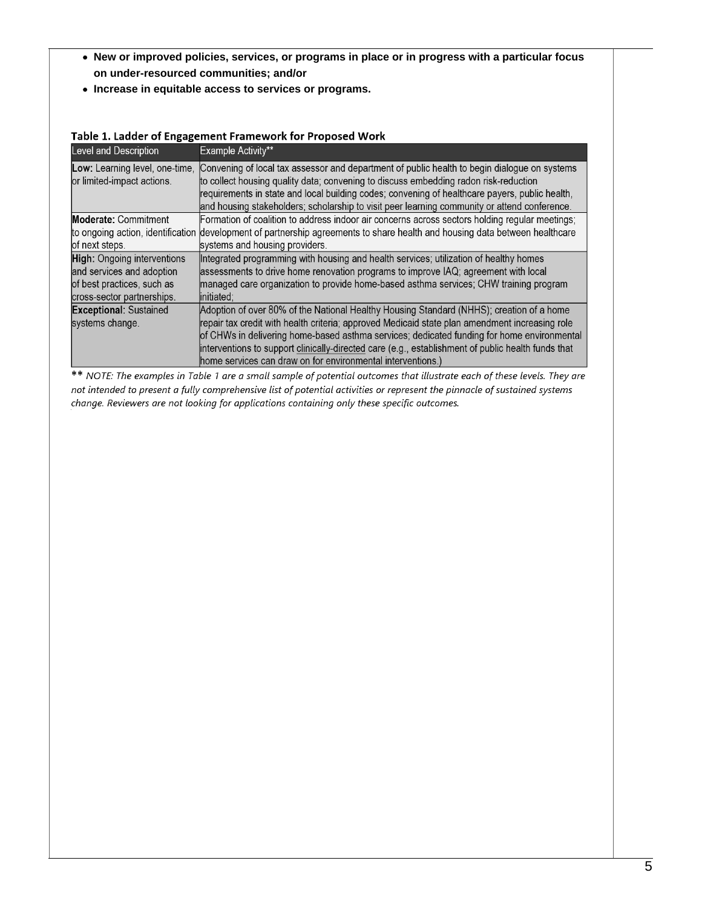- **New or improved policies, services, or programs in place or in progress with a particular focus on under-resourced communities; and/or**
- **Increase in equitable access to services or programs.**

| <b>Level and Description</b>       | Example Activity**                                                                                 |
|------------------------------------|----------------------------------------------------------------------------------------------------|
| Low: Learning level, one-time,     | Convening of local tax assessor and department of public health to begin dialogue on systems       |
| or limited-impact actions.         | to collect housing quality data; convening to discuss embedding radon risk-reduction               |
|                                    | requirements in state and local building codes; convening of healthcare payers, public health,     |
|                                    | and housing stakeholders; scholarship to visit peer learning community or attend conference.       |
| <b>Moderate: Commitment</b>        | Formation of coalition to address indoor air concerns across sectors holding regular meetings;     |
| to ongoing action, identification  | development of partnership agreements to share health and housing data between healthcare          |
| of next steps.                     | systems and housing providers.                                                                     |
| <b>High:</b> Ongoing interventions | Integrated programming with housing and health services; utilization of healthy homes              |
| and services and adoption          | assessments to drive home renovation programs to improve IAQ; agreement with local                 |
| of best practices, such as         | managed care organization to provide home-based asthma services; CHW training program              |
| cross-sector partnerships.         | linitiated:                                                                                        |
| <b>Exceptional: Sustained</b>      | Adoption of over 80% of the National Healthy Housing Standard (NHHS); creation of a home           |
| systems change.                    | repair tax credit with health criteria; approved Medicaid state plan amendment increasing role     |
|                                    | of CHWs in delivering home-based asthma services; dedicated funding for home environmental         |
|                                    | interventions to support clinically-directed care (e.g., establishment of public health funds that |
|                                    | home services can draw on for environmental interventions.)                                        |

# Table 1. Ladder of Engagement Framework for Proposed Work

\*\* NOTE: The examples in Table 1 are a small sample of potential outcomes that illustrate each of these levels. They are not intended to present a fully comprehensive list of potential activities or represent the pinnacle of sustained systems change. Reviewers are not looking for applications containing only these specific outcomes.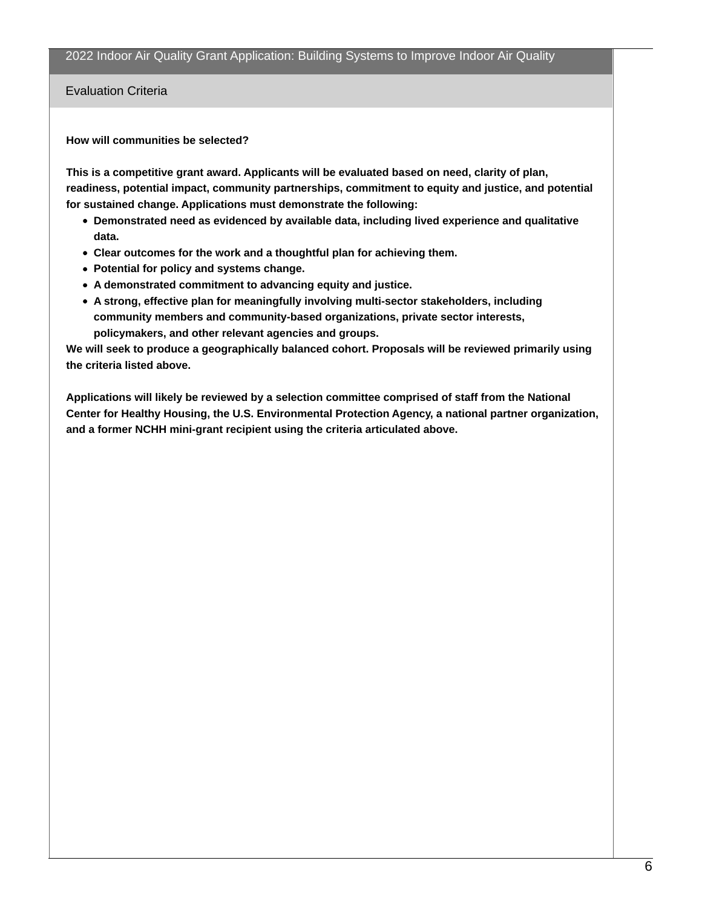Evaluation Criteria

#### **How will communities be selected?**

**This is a competitive grant award. Applicants will be evaluated based on need, clarity of plan, readiness, potential impact, community partnerships, commitment to equity and justice, and potential for sustained change. Applications must demonstrate the following:**

- **Demonstrated need as evidenced by available data, including lived experience and qualitative data.**
- **Clear outcomes for the work and a thoughtful plan for achieving them.**
- **Potential for policy and systems change.**
- **A demonstrated commitment to advancing equity and justice.**
- **A strong, effective plan for meaningfully involving multi-sector stakeholders, including community members and community-based organizations, private sector interests, policymakers, and other relevant agencies and groups.**

**We will seek to produce a geographically balanced cohort. Proposals will be reviewed primarily using the criteria listed above.**

**Applications will likely be reviewed by a selection committee comprised of staff from the National Center for Healthy Housing, the U.S. Environmental Protection Agency, a national partner organization, and a former NCHH mini-grant recipient using the criteria articulated above.**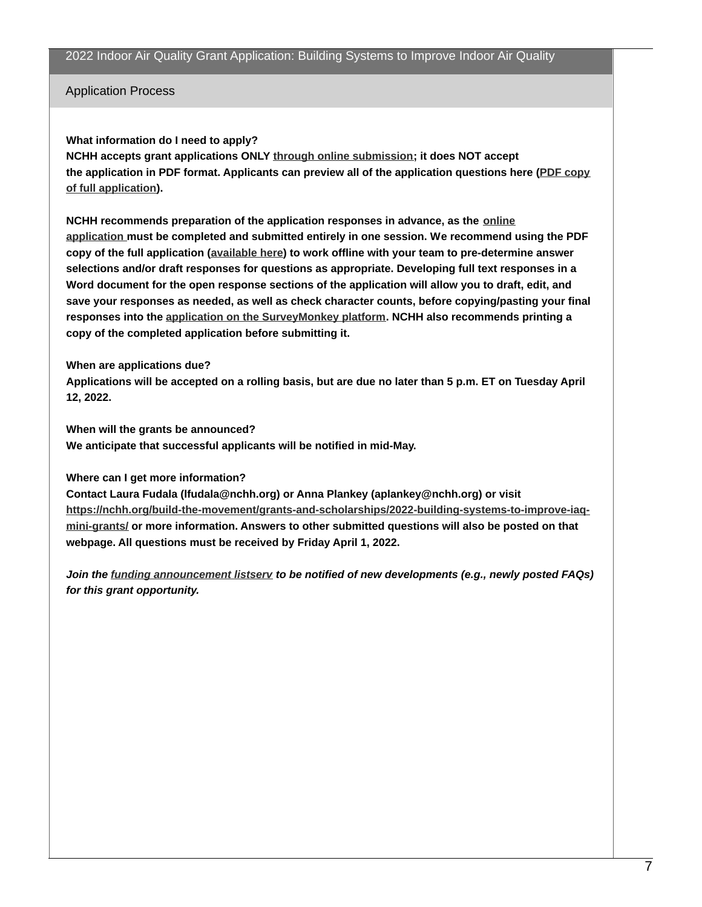Application Process

## **What information do I need to apply?**

**NCHH accepts grant applications ONLY through online [submission](https://www.surveymonkey.com/r/2022NCHHIAQ); it does NOT accept the application in PDF format. Applicants can preview all of the application questions here (PDF copy of full [application\).](https://nchh.org/resource-library/grants_rfp_iaq-2022.pdf)**

**NCHH [recommends](https://www.surveymonkey.com/r/2022NCHHIAQ) preparation of the application responses in advance, as the online application must be completed and submitted entirely in one session. We recommend using the PDF copy of the full application ([available](https://nchh.org/resource-library/grants_rfp_iaq-2022.pdf) here) to work offline with your team to pre-determine answer selections and/or draft responses for questions as appropriate. Developing full text responses in a Word document for the open response sections of the application will allow you to draft, edit, and save your responses as needed, as well as check character counts, before copying/pasting your final responses into the application on the [SurveyMonkey](https://www.surveymonkey.com/r/2022NCHHIAQ) platform. NCHH also recommends printing a copy of the completed application before submitting it.**

## **When are applications due?**

Applications will be accepted on a rolling basis, but are due no later than 5 p.m. ET on Tuesday April **12, 2022.**

**When will the grants be announced?**

**We anticipate that successful applicants will be notified in mid-May.**

# **Where can I get more information?**

**Contact Laura Fudala (lfudala@nchh.org) or Anna Plankey (aplankey@nchh.org) or visit [https://nchh.org/build-the-movement/grants-and-scholarships/2022-building-systems-to-improve-iaq](https://nchh.org/build-the-movement/grants-and-scholarships/2022-building-systems-to-improve-iaq-mini-grants/)mini-grants/ or more information. Answers to other submitted questions will also be posted on that webpage. All questions must be received by Friday April 1, 2022.**

*Join the funding [announcement](https://www.surveymonkey.com/r/KPDPK9B) listserv to be notified of new developments (e.g., newly posted FAQs) for this grant opportunity.*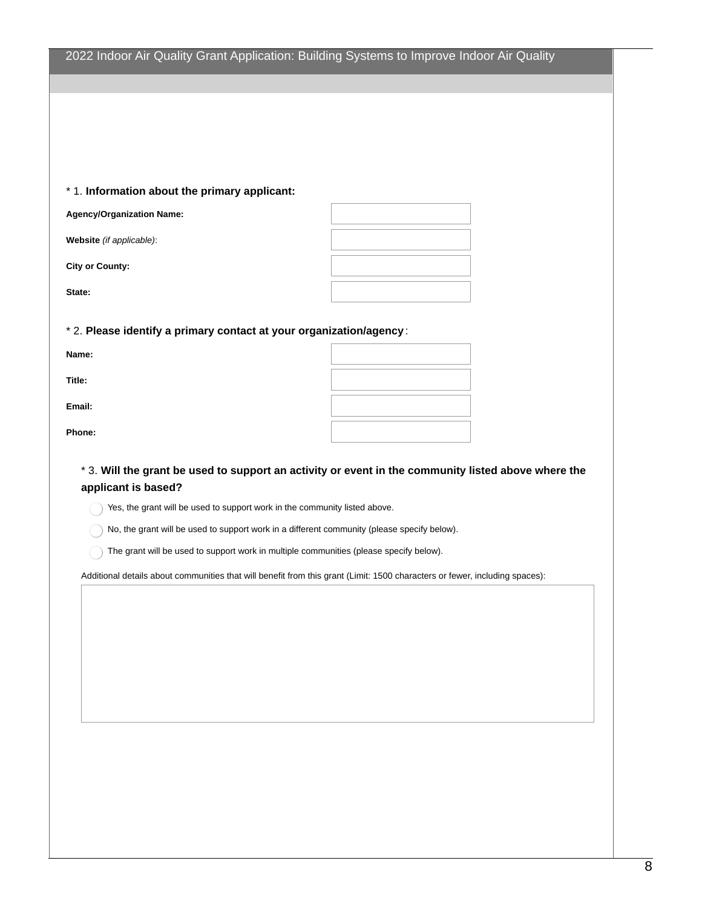# 2022 Indoor Air Quality Grant Application: Building Systems to Improve Indoor Air Quality

#### \* 1. **Information about the primary applicant:**

**Agency/Organization Name:**

**Website** *(if applicable)*:

**City or County:**

**State:**

\* 2. **Please identify a primary contact at your organization/agency** :

**Name:**

**Title:**

**Email:**

**Phone:**

\* 3. Will the grant be used to support an activity or event in the community listed above where the **applicant is based?**

Yes, the grant will be used to support work in the community listed above.

No, the grant will be used to support work in a different community (please specify below).

 $\bigcap$  The grant will be used to support work in multiple communities (please specify below).

Additional details about communities that will benefit from this grant (Limit: 1500 characters or fewer, including spaces):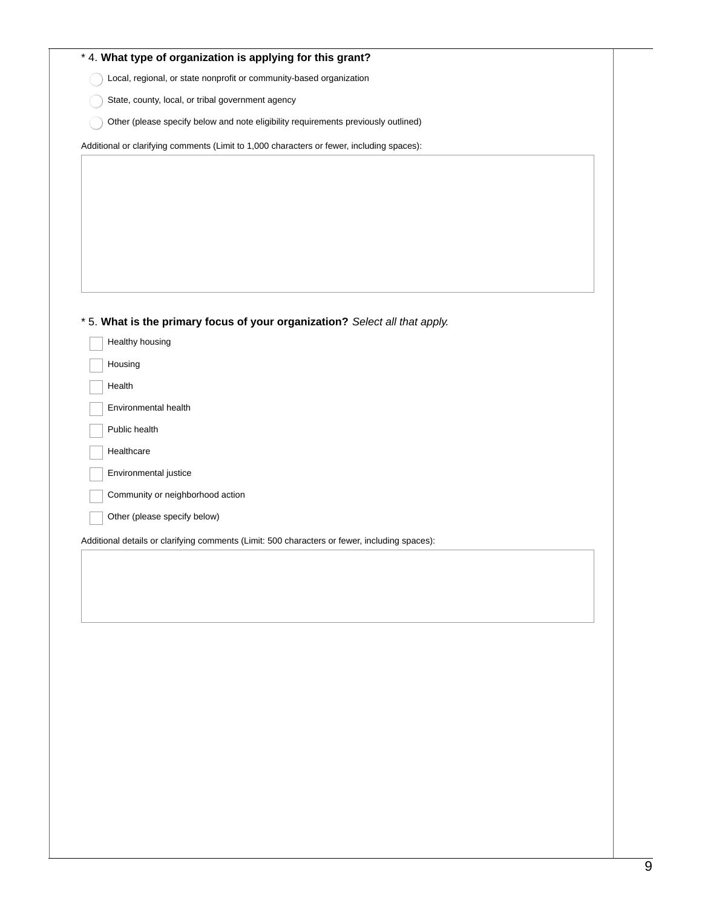| * 4. What type of organization is applying for this grant?                                    |
|-----------------------------------------------------------------------------------------------|
| Local, regional, or state nonprofit or community-based organization                           |
| State, county, local, or tribal government agency                                             |
| Other (please specify below and note eligibility requirements previously outlined)            |
| Additional or clarifying comments (Limit to 1,000 characters or fewer, including spaces):     |
|                                                                                               |
|                                                                                               |
|                                                                                               |
|                                                                                               |
|                                                                                               |
|                                                                                               |
|                                                                                               |
| * 5. What is the primary focus of your organization? Select all that apply.                   |
| Healthy housing                                                                               |
| Housing                                                                                       |
| Health                                                                                        |
| Environmental health                                                                          |
| Public health                                                                                 |
| Healthcare                                                                                    |
| Environmental justice                                                                         |
| Community or neighborhood action                                                              |
| Other (please specify below)                                                                  |
|                                                                                               |
| Additional details or clarifying comments (Limit: 500 characters or fewer, including spaces): |
|                                                                                               |
|                                                                                               |
|                                                                                               |
|                                                                                               |
|                                                                                               |
|                                                                                               |
|                                                                                               |
|                                                                                               |
|                                                                                               |
|                                                                                               |
|                                                                                               |
|                                                                                               |
|                                                                                               |
|                                                                                               |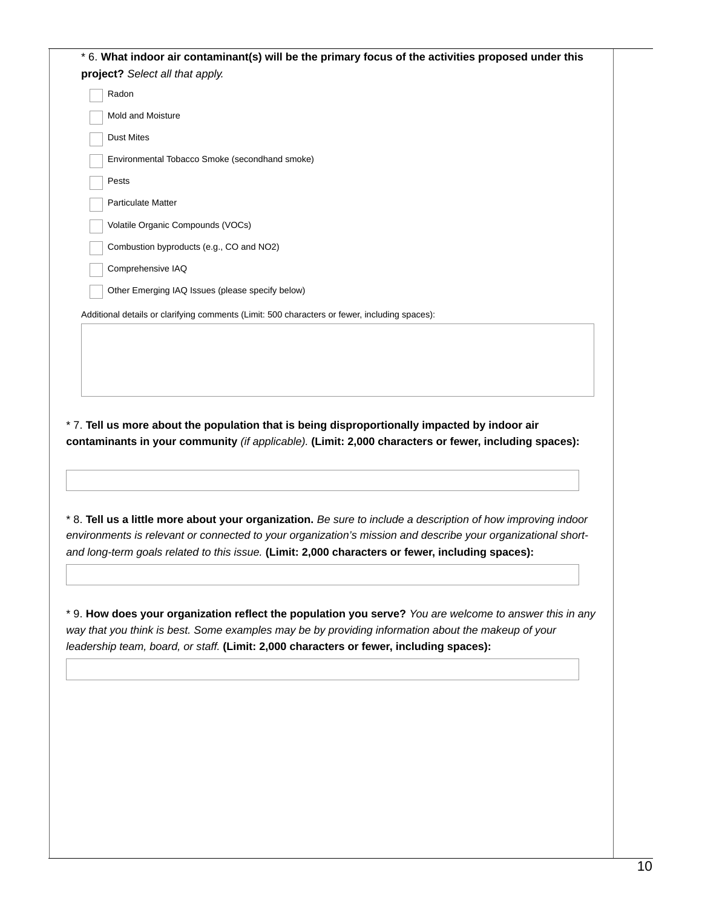Additional details or clarifying comments (Limit: 500 characters or fewer, including spaces): \* 6. **What indoor air contaminant(s) will be the primary focus of the activities proposed under this project?** *Select all that apply.* Radon Mold and Moisture Dust Mites Environmental Tobacco Smoke (secondhand smoke) Pests Particulate Matter Volatile Organic Compounds (VOCs) Combustion byproducts (e.g., CO and NO2) Comprehensive IAQ Other Emerging IAQ Issues (please specify below)

\* 7. **Tell us more about the population that is being disproportionally impacted by indoor air contaminants in your community** *(if applicable).* **(Limit: 2,000 characters or fewer, including spaces):**

\* 8. Tell us a little more about your organization. Be sure to include a description of how improving indoor *environments is relevant or connected to your organization's mission and describe your organizational shortand long-term goals related to this issue.* **(Limit: 2,000 characters or fewer, including spaces):**

\* 9. **How does your organization reflect the population you serve?** *You are welcome to answer this in any way that you think is best. Some examples may be by providing information about the makeup of your leadership team, board, or staff.* **(Limit: 2,000 characters or fewer, including spaces):**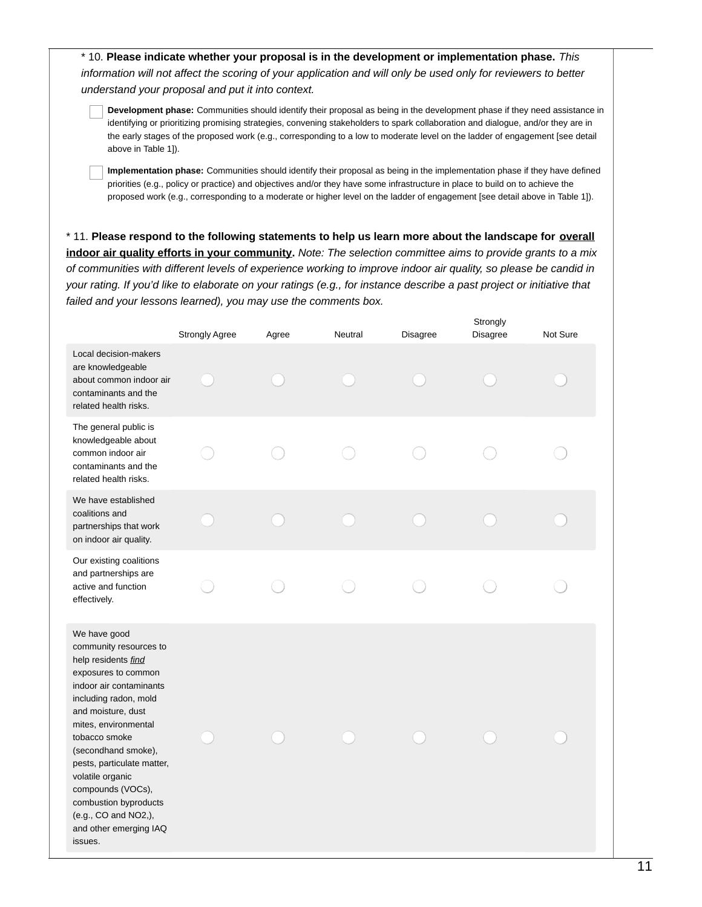\* 10. **Please indicate whether your proposal is in the development or implementation phase.** *This* information will not affect the scoring of your application and will only be used only for reviewers to better *understand your proposal and put it into context.*

**Development phase:** Communities should identify their proposal as being in the development phase if they need assistance in identifying or prioritizing promising strategies, convening stakeholders to spark collaboration and dialogue, and/or they are in the early stages of the proposed work (e.g., corresponding to a low to moderate level on the ladder of engagement [see detail above in Table 1]).

**Implementation phase:** Communities should identify their proposal as being in the implementation phase if they have defined priorities (e.g., policy or practice) and objectives and/or they have some infrastructure in place to build on to achieve the proposed work (e.g., corresponding to a moderate or higher level on the ladder of engagement [see detail above in Table 1]).

\* 11. **Please respond to the following statements to help us learn more about the landscape for overall** indoor air quality efforts in your community. Note: The selection committee aims to provide grants to a mix of communities with different levels of experience working to improve indoor air quality, so please be candid in your rating. If you'd like to elaborate on your ratings (e.g., for instance describe a past project or initiative that *failed and your lessons learned), you may use the comments box.*

|                                                                                                                                                                                                                                                                                                                                                                                             | <b>Strongly Agree</b> | Agree | Neutral | <b>Disagree</b> | Strongly<br>Disagree | Not Sure |
|---------------------------------------------------------------------------------------------------------------------------------------------------------------------------------------------------------------------------------------------------------------------------------------------------------------------------------------------------------------------------------------------|-----------------------|-------|---------|-----------------|----------------------|----------|
| Local decision-makers<br>are knowledgeable<br>about common indoor air<br>contaminants and the<br>related health risks.                                                                                                                                                                                                                                                                      |                       |       |         |                 |                      |          |
| The general public is<br>knowledgeable about<br>common indoor air<br>contaminants and the<br>related health risks.                                                                                                                                                                                                                                                                          |                       |       |         |                 |                      |          |
| We have established<br>coalitions and<br>partnerships that work<br>on indoor air quality.                                                                                                                                                                                                                                                                                                   |                       |       |         |                 |                      |          |
| Our existing coalitions<br>and partnerships are<br>active and function<br>effectively.                                                                                                                                                                                                                                                                                                      |                       |       |         |                 |                      |          |
| We have good<br>community resources to<br>help residents find<br>exposures to common<br>indoor air contaminants<br>including radon, mold<br>and moisture, dust<br>mites, environmental<br>tobacco smoke<br>(secondhand smoke),<br>pests, particulate matter,<br>volatile organic<br>compounds (VOCs),<br>combustion byproducts<br>(e.g., CO and NO2,),<br>and other emerging IAQ<br>issues. |                       |       |         |                 |                      |          |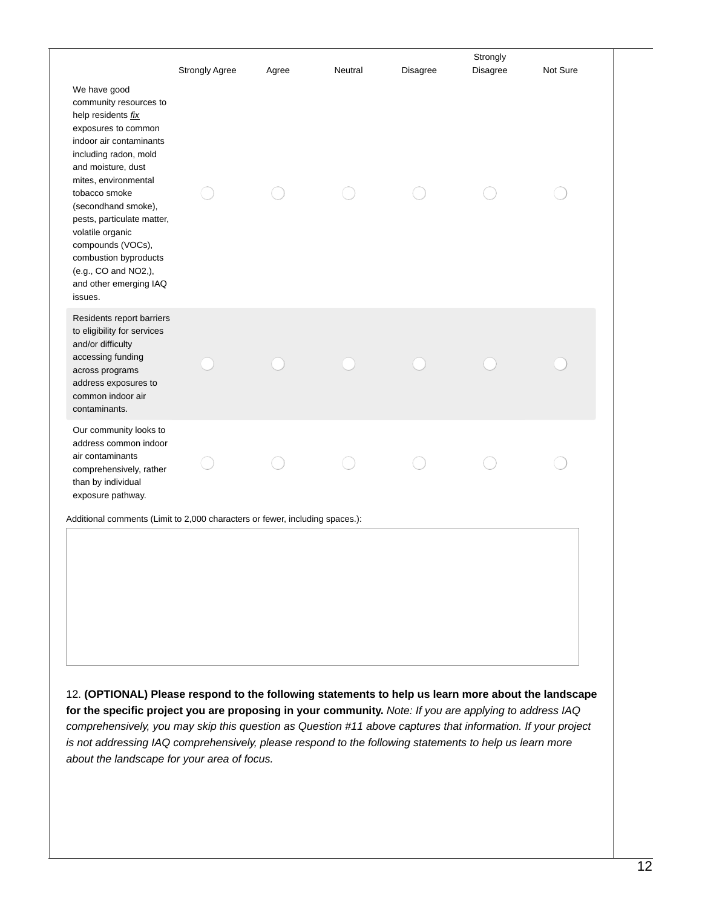| We have good<br>community resources to<br>help residents fix<br>exposures to common                                                                                                                                                                                                                 | Agree | Neutral | Disagree | Strongly<br>Disagree | Not Sure |
|-----------------------------------------------------------------------------------------------------------------------------------------------------------------------------------------------------------------------------------------------------------------------------------------------------|-------|---------|----------|----------------------|----------|
| indoor air contaminants<br>including radon, mold<br>and moisture, dust<br>mites, environmental<br>tobacco smoke<br>(secondhand smoke),<br>pests, particulate matter,<br>volatile organic<br>compounds (VOCs),<br>combustion byproducts<br>(e.g., CO and NO2,),<br>and other emerging IAQ<br>issues. |       |         |          |                      |          |
| Residents report barriers<br>to eligibility for services<br>and/or difficulty<br>accessing funding<br>across programs<br>address exposures to<br>common indoor air<br>contaminants.                                                                                                                 |       |         |          |                      |          |
| Our community looks to<br>address common indoor<br>air contaminants<br>comprehensively, rather<br>than by individual<br>exposure pathway.                                                                                                                                                           |       |         |          |                      |          |

*comprehensively, you may skip this question as Question #11 above captures that information. If your project is not addressing IAQ comprehensively, please respond to the following statements to help us learn more about the landscape for your area of focus.*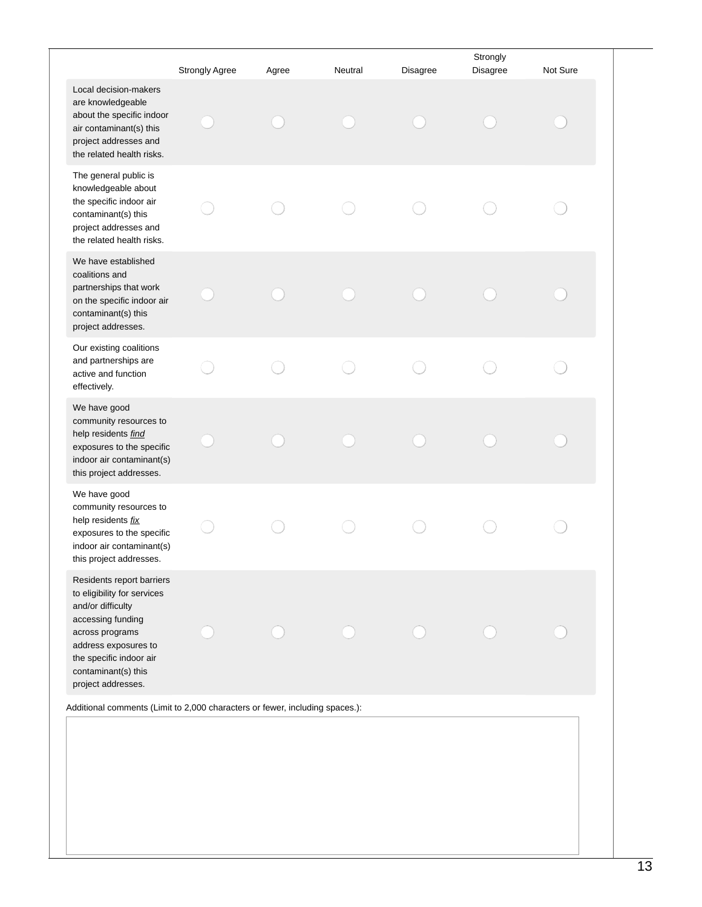| Local decision-makers<br>are knowledgeable<br>about the specific indoor<br>air contaminant(s) this<br>project addresses and                                                                                           | Strongly Agree | Agree | Neutral | Disagree | Strongly<br>Disagree | Not Sure |
|-----------------------------------------------------------------------------------------------------------------------------------------------------------------------------------------------------------------------|----------------|-------|---------|----------|----------------------|----------|
|                                                                                                                                                                                                                       |                |       |         |          |                      |          |
| the related health risks.                                                                                                                                                                                             |                |       |         |          |                      |          |
| The general public is<br>knowledgeable about<br>the specific indoor air<br>contaminant(s) this<br>project addresses and<br>the related health risks.                                                                  |                |       |         |          |                      |          |
| We have established<br>coalitions and<br>partnerships that work<br>on the specific indoor air<br>contaminant(s) this<br>project addresses.                                                                            |                |       |         |          |                      |          |
| Our existing coalitions<br>and partnerships are<br>active and function<br>effectively.                                                                                                                                |                |       |         |          |                      |          |
| We have good<br>community resources to<br>help residents find<br>exposures to the specific<br>indoor air contaminant(s)<br>this project addresses.                                                                    |                |       |         |          |                      |          |
| We have good<br>community resources to<br>help residents fix<br>exposures to the specific<br>indoor air contaminant(s)<br>this project addresses.                                                                     |                |       |         |          |                      |          |
| Residents report barriers<br>to eligibility for services<br>and/or difficulty<br>accessing funding<br>across programs<br>address exposures to<br>the specific indoor air<br>contaminant(s) this<br>project addresses. |                |       |         |          |                      |          |
| Additional comments (Limit to 2,000 characters or fewer, including spaces.):                                                                                                                                          |                |       |         |          |                      |          |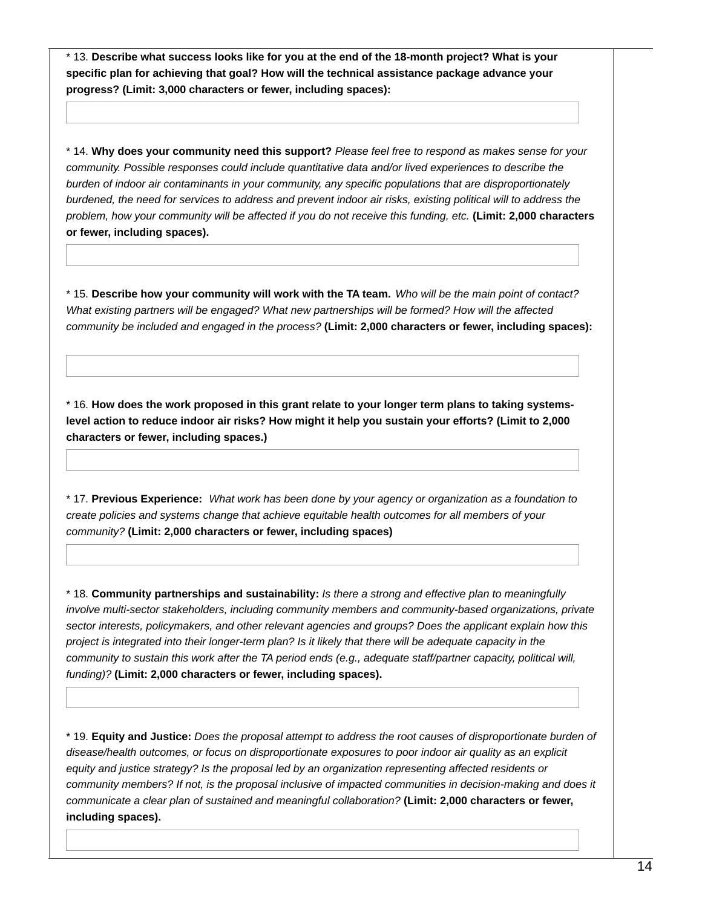\* 13. **Describe what success looks like for you at the end of the 18-month project? What is your specific plan for achieving that goal? How will the technical assistance package advance your progress? (Limit: 3,000 characters or fewer, including spaces):**

\* 14. **Why does your community need this support?** *Please feel free to respond as makes sense for your community. Possible responses could include quantitative data and/or lived experiences to describe the burden of indoor air contaminants in your community, any specific populations that are disproportionately* burdened, the need for services to address and prevent indoor air risks, existing political will to address the problem, how your community will be affected if you do not receive this funding, etc. (Limit: 2,000 characters **or fewer, including spaces).**

\* 15. Describe how your community will work with the TA team. Who will be the main point of contact? *What existing partners will be engaged? What new partnerships will be formed? How will the affected community be included and engaged in the process?* **(Limit: 2,000 characters or fewer, including spaces):**

\* 16. **How does the work proposed in this grant relate to your longer term plans to taking systems**level action to reduce indoor air risks? How might it help you sustain your efforts? (Limit to 2,000 **characters or fewer, including spaces.)**

\* 17. **Previous Experience:** *What work has been done by your agency or organization as a foundation to create policies and systems change that achieve equitable health outcomes for all members of your community?* **(Limit: 2,000 characters or fewer, including spaces)**

\* 18. **Community partnerships and sustainability:** *Is there a strong and effective plan to meaningfully involve multi-sector stakeholders, including community members and community-based organizations, private sector interests, policymakers, and other relevant agencies and groups? Does the applicant explain how this* project is integrated into their longer-term plan? Is it likely that there will be adequate capacity in the *community to sustain this work after the TA period ends (e.g., adequate staff/partner capacity, political will, funding)?* **(Limit: 2,000 characters or fewer, including spaces).**

\* 19. **Equity and Justice:** *Does the proposal attempt to address the root causes of disproportionate burden of disease/health outcomes, or focus on disproportionate exposures to poor indoor air quality as an explicit equity and justice strategy? Is the proposal led by an organization representing affected residents or community members? If not, is the proposal inclusive of impacted communities in decision-making and does it communicate a clear plan of sustained and meaningful collaboration?* **(Limit: 2,000 characters or fewer, including spaces).**